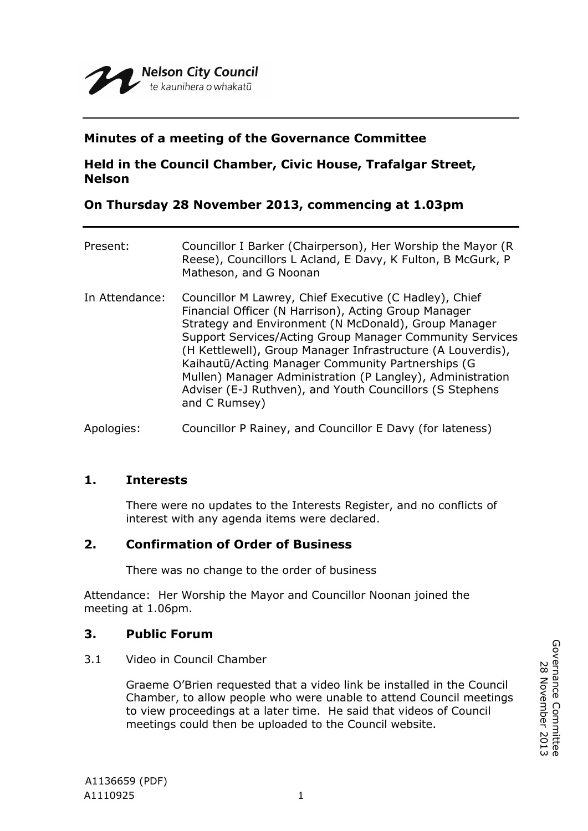

# **Minutes of a meeting of the Governance Committee**

# **Held in the Council Chamber, Civic House, Trafalgar Street, Nelson**

# **On Thursday 28 November 2013, commencing at 1.03pm**

| Present:       | Councillor I Barker (Chairperson), Her Worship the Mayor (R<br>Reese), Councillors L Acland, E Davy, K Fulton, B McGurk, P<br>Matheson, and G Noonan                                                                                                                                                                                                                                                                                                                                              |
|----------------|---------------------------------------------------------------------------------------------------------------------------------------------------------------------------------------------------------------------------------------------------------------------------------------------------------------------------------------------------------------------------------------------------------------------------------------------------------------------------------------------------|
| In Attendance: | Councillor M Lawrey, Chief Executive (C Hadley), Chief<br>Financial Officer (N Harrison), Acting Group Manager<br>Strategy and Environment (N McDonald), Group Manager<br>Support Services/Acting Group Manager Community Services<br>(H Kettlewell), Group Manager Infrastructure (A Louverdis),<br>Kaihautū/Acting Manager Community Partnerships (G<br>Mullen) Manager Administration (P Langley), Administration<br>Adviser (E-J Ruthven), and Youth Councillors (S Stephens<br>and C Rumsey) |

Apologies: Councillor P Rainey, and Councillor E Davy (for lateness)

## **1. Interests**

There were no updates to the Interests Register, and no conflicts of interest with any agenda items were declared.

## **2. Confirmation of Order of Business**

There was no change to the order of business

Attendance: Her Worship the Mayor and Councillor Noonan joined the meeting at 1.06pm.

## **3. Public Forum**

3.1 Video in Council Chamber

Graeme O'Brien requested that a video link be installed in the Council Chamber, to allow people who were unable to attend Council meetings to view proceedings at a later time. He said that videos of Council meetings could then be uploaded to the Council website.

Governance Committee<br>28 November 2013 Governance Committee 28 November 2013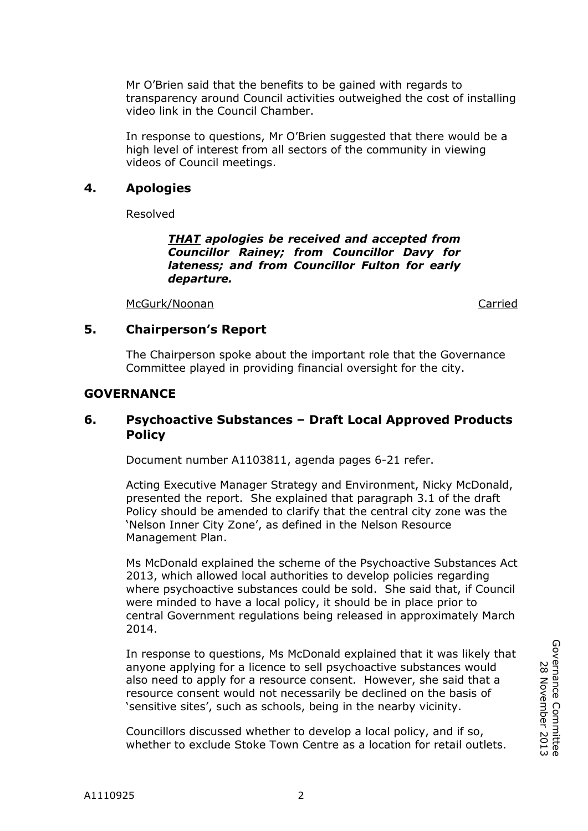Mr O'Brien said that the benefits to be gained with regards to transparency around Council activities outweighed the cost of installing video link in the Council Chamber.

In response to questions, Mr O'Brien suggested that there would be a high level of interest from all sectors of the community in viewing videos of Council meetings.

## **4. Apologies**

Resolved

*THAT apologies be received and accepted from Councillor Rainey; from Councillor Davy for lateness; and from Councillor Fulton for early departure.* 

McGurk/Noonan Carried

### **5. Chairperson's Report**

The Chairperson spoke about the important role that the Governance Committee played in providing financial oversight for the city.

### **GOVERNANCE**

## **6. Psychoactive Substances – Draft Local Approved Products Policy**

Document number A1103811, agenda pages 6-21 refer.

Acting Executive Manager Strategy and Environment, Nicky McDonald, presented the report. She explained that paragraph 3.1 of the draft Policy should be amended to clarify that the central city zone was the 'Nelson Inner City Zone', as defined in the Nelson Resource Management Plan.

Ms McDonald explained the scheme of the Psychoactive Substances Act 2013, which allowed local authorities to develop policies regarding where psychoactive substances could be sold. She said that, if Council were minded to have a local policy, it should be in place prior to central Government regulations being released in approximately March 2014.

In response to questions, Ms McDonald explained that it was likely that anyone applying for a licence to sell psychoactive substances would also need to apply for a resource consent. However, she said that a resource consent would not necessarily be declined on the basis of 'sensitive sites', such as schools, being in the nearby vicinity.

Councillors discussed whether to develop a local policy, and if so, whether to exclude Stoke Town Centre as a location for retail outlets.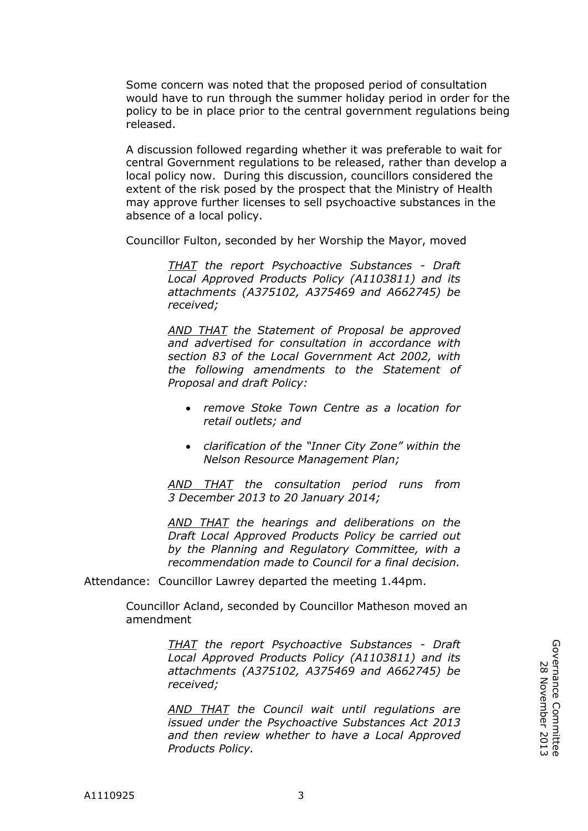Some concern was noted that the proposed period of consultation would have to run through the summer holiday period in order for the policy to be in place prior to the central government regulations being released.

A discussion followed regarding whether it was preferable to wait for central Government regulations to be released, rather than develop a local policy now. During this discussion, councillors considered the extent of the risk posed by the prospect that the Ministry of Health may approve further licenses to sell psychoactive substances in the absence of a local policy.

Councillor Fulton, seconded by her Worship the Mayor, moved

*THAT the report Psychoactive Substances - Draft Local Approved Products Policy (A1103811) and its attachments (A375102, A375469 and A662745) be received;*

*AND THAT the Statement of Proposal be approved and advertised for consultation in accordance with section 83 of the Local Government Act 2002, with the following amendments to the Statement of Proposal and draft Policy:* 

- *remove Stoke Town Centre as a location for retail outlets; and*
- *clarification of the "Inner City Zone" within the Nelson Resource Management Plan;*

*AND THAT the consultation period runs from 3 December 2013 to 20 January 2014;*

*AND THAT the hearings and deliberations on the Draft Local Approved Products Policy be carried out by the Planning and Regulatory Committee, with a recommendation made to Council for a final decision.*

Attendance: Councillor Lawrey departed the meeting 1.44pm.

Councillor Acland, seconded by Councillor Matheson moved an amendment

> *THAT the report Psychoactive Substances - Draft Local Approved Products Policy (A1103811) and its attachments (A375102, A375469 and A662745) be received;*

> *AND THAT the Council wait until regulations are issued under the Psychoactive Substances Act 2013 and then review whether to have a Local Approved Products Policy.*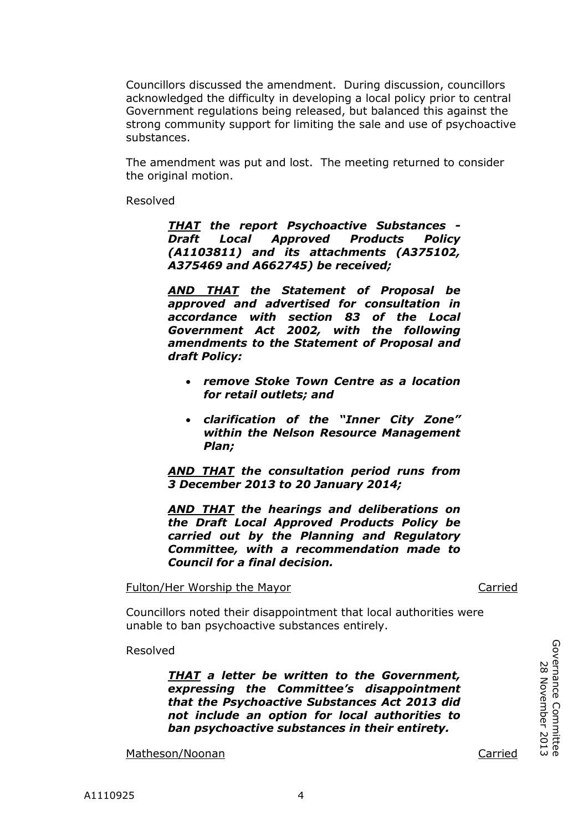Councillors discussed the amendment. During discussion, councillors acknowledged the difficulty in developing a local policy prior to central Government regulations being released, but balanced this against the strong community support for limiting the sale and use of psychoactive substances.

The amendment was put and lost. The meeting returned to consider the original motion.

Resolved

*THAT the report Psychoactive Substances - Draft Local Approved Products Policy (A1103811) and its attachments (A375102, A375469 and A662745) be received;*

*AND THAT the Statement of Proposal be approved and advertised for consultation in accordance with section 83 of the Local Government Act 2002, with the following amendments to the Statement of Proposal and draft Policy:* 

- *remove Stoke Town Centre as a location for retail outlets; and*
- *clarification of the "Inner City Zone" within the Nelson Resource Management Plan;*

*AND THAT the consultation period runs from 3 December 2013 to 20 January 2014;*

*AND THAT the hearings and deliberations on the Draft Local Approved Products Policy be carried out by the Planning and Regulatory Committee, with a recommendation made to Council for a final decision.*

Fulton/Her Worship the Mayor Carried

Councillors noted their disappointment that local authorities were unable to ban psychoactive substances entirely.

Resolved

*THAT a letter be written to the Government, expressing the Committee's disappointment that the Psychoactive Substances Act 2013 did not include an option for local authorities to ban psychoactive substances in their entirety.*

Matheson/Noonan Carried

Governance Committee 28 November 2013

Governance Committee<br>28 November 2013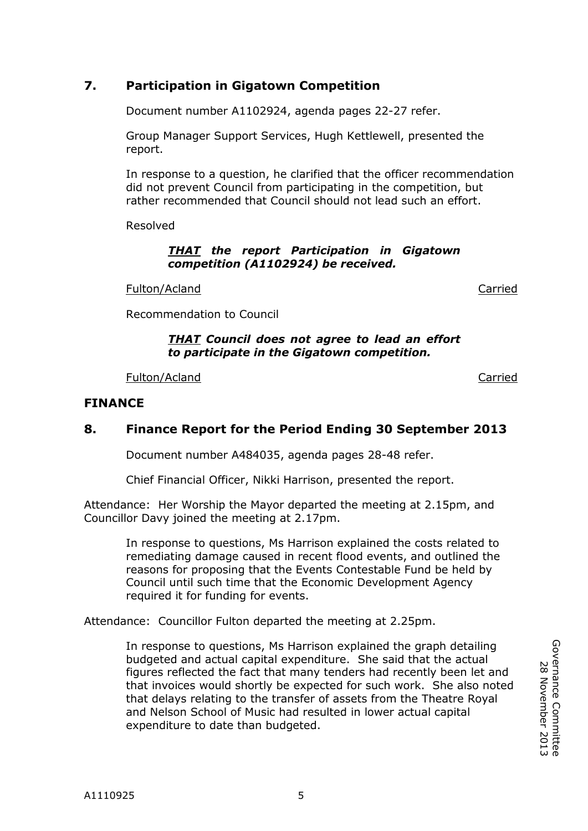Document number A1102924, agenda pages 22-27 refer.

Group Manager Support Services, Hugh Kettlewell, presented the report.

In response to a question, he clarified that the officer recommendation did not prevent Council from participating in the competition, but rather recommended that Council should not lead such an effort.

Resolved

#### *THAT the report Participation in Gigatown competition (A1102924) be received.*

Fulton/Acland Carried Carried

Recommendation to Council

#### *THAT Council does not agree to lead an effort to participate in the Gigatown competition.*

Fulton/Acland Carried Carried Carried Carried Carried Carried Carried Carried Carried Carried Carried Carried

### **FINANCE**

### **8. Finance Report for the Period Ending 30 September 2013**

Document number A484035, agenda pages 28-48 refer.

Chief Financial Officer, Nikki Harrison, presented the report.

Attendance: Her Worship the Mayor departed the meeting at 2.15pm, and Councillor Davy joined the meeting at 2.17pm.

In response to questions, Ms Harrison explained the costs related to remediating damage caused in recent flood events, and outlined the reasons for proposing that the Events Contestable Fund be held by Council until such time that the Economic Development Agency required it for funding for events.

Attendance: Councillor Fulton departed the meeting at 2.25pm.

In response to questions, Ms Harrison explained the graph detailing budgeted and actual capital expenditure. She said that the actual figures reflected the fact that many tenders had recently been let and that invoices would shortly be expected for such work. She also noted that delays relating to the transfer of assets from the Theatre Royal and Nelson School of Music had resulted in lower actual capital expenditure to date than budgeted.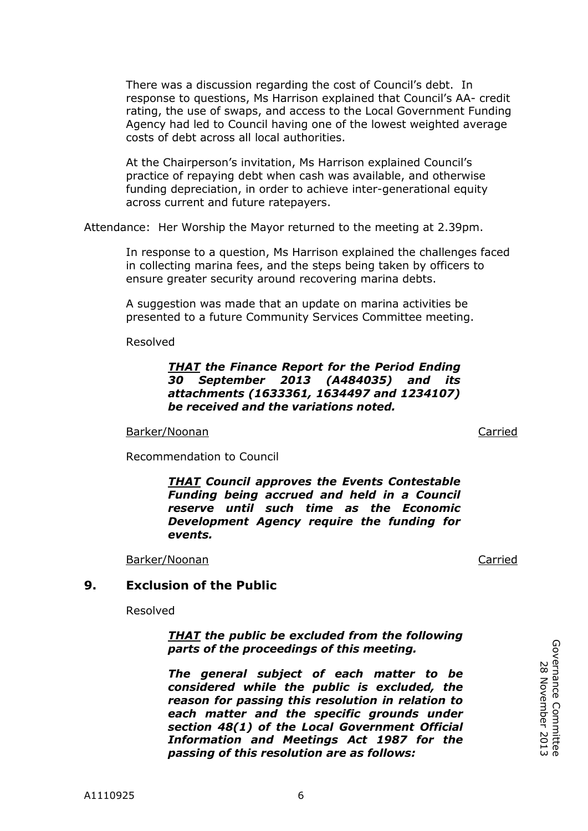There was a discussion regarding the cost of Council's debt. In response to questions, Ms Harrison explained that Council's AA- credit rating, the use of swaps, and access to the Local Government Funding Agency had led to Council having one of the lowest weighted average costs of debt across all local authorities.

At the Chairperson's invitation, Ms Harrison explained Council's practice of repaying debt when cash was available, and otherwise funding depreciation, in order to achieve inter-generational equity across current and future ratepayers.

Attendance: Her Worship the Mayor returned to the meeting at 2.39pm.

In response to a question, Ms Harrison explained the challenges faced in collecting marina fees, and the steps being taken by officers to ensure greater security around recovering marina debts.

A suggestion was made that an update on marina activities be presented to a future Community Services Committee meeting.

Resolved

#### *THAT the Finance Report for the Period Ending 30 September 2013 (A484035) and its attachments (1633361, 1634497 and 1234107) be received and the variations noted.*

Barker/Noonan Carried

Recommendation to Council

*THAT Council approves the Events Contestable Funding being accrued and held in a Council reserve until such time as the Economic Development Agency require the funding for events.*

Barker/Noonan Carried

#### **9. Exclusion of the Public**

Resolved

*THAT the public be excluded from the following parts of the proceedings of this meeting.*

*The general subject of each matter to be considered while the public is excluded, the reason for passing this resolution in relation to each matter and the specific grounds under section 48(1) of the Local Government Official Information and Meetings Act 1987 for the passing of this resolution are as follows:*

Governance Committee<br>28 November 2013 Governance Committee 28 November 2013